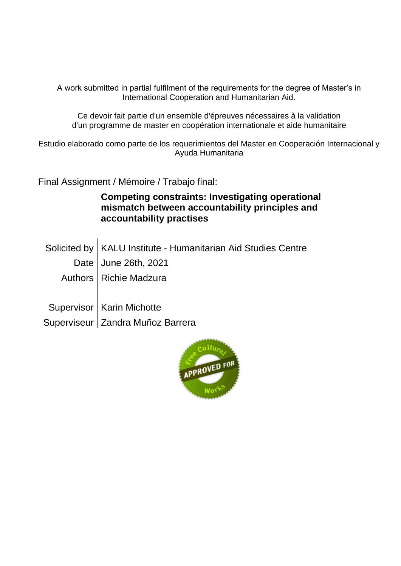A work submitted in partial fulfilment of the requirements for the degree of Master's in International Cooperation and Humanitarian Aid.

Ce devoir fait partie d'un ensemble d'épreuves nécessaires à la validation d'un programme de master en coopération internationale et aide humanitaire

Estudio elaborado como parte de los requerimientos del Master en Cooperación Internacional y Ayuda Humanitaria

Final Assignment / Mémoire / Trabajo final:

## **Competing constraints: Investigating operational mismatch between accountability principles and accountability practises**

Solicited by | KALU Institute - Humanitarian Aid Studies Centre Date | June 26th, 2021 Authors Richie Madzura Supervisor | Karin Michotte Superviseur Zandra Muñoz Barrera

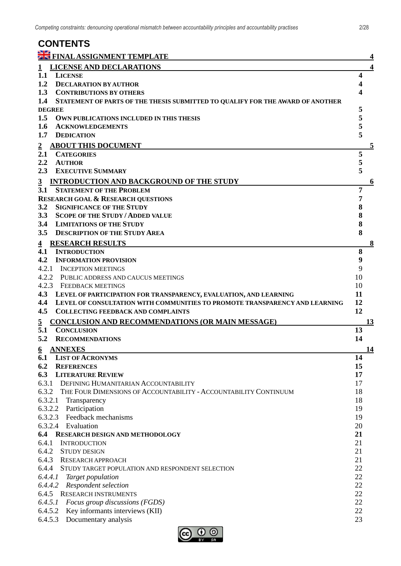| <b>CONTENTS</b>                                                                    |           |
|------------------------------------------------------------------------------------|-----------|
| <b>E FINAL ASSIGNMENT TEMPLATE</b>                                                 | 4         |
| <b>LICENSE AND DECLARATIONS</b>                                                    | 4         |
| <b>LICENSE</b><br>1.1                                                              | 4         |
| 1.2<br><b>DECLARATION BY AUTHOR</b>                                                |           |
| 1.3<br><b>CONTRIBUTIONS BY OTHERS</b>                                              |           |
| 1.4 STATEMENT OF PARTS OF THE THESIS SUBMITTED TO QUALIFY FOR THE AWARD OF ANOTHER |           |
| <b>DEGREE</b>                                                                      | 5         |
| 1.5<br>OWN PUBLICATIONS INCLUDED IN THIS THESIS                                    | 5         |
| 1.6<br><b>ACKNOWLEDGEMENTS</b>                                                     | 5         |
| 1.7<br><b>DEDICATION</b>                                                           | 5         |
| <b>ABOUT THIS DOCUMENT</b><br>$\overline{2}$                                       | 5         |
| 2.1<br><b>CATEGORIES</b>                                                           | 5         |
| 2.2<br><b>AUTHOR</b>                                                               | 5         |
| 2.3<br><b>EXECUTIVE SUMMARY</b>                                                    | 5         |
| <b>INTRODUCTION AND BACKGROUND OF THE STUDY</b><br>$\mathbf{3}$                    | 6         |
| 3.1<br><b>STATEMENT OF THE PROBLEM</b>                                             | 7         |
| <b>RESEARCH GOAL &amp; RESEARCH QUESTIONS</b>                                      | 7         |
| 3.2<br><b>SIGNIFICANCE OF THE STUDY</b>                                            | 8         |
| 3.3<br><b>SCOPE OF THE STUDY / ADDED VALUE</b>                                     | 8         |
| 3.4<br><b>LIMITATIONS OF THE STUDY</b>                                             | 8         |
| <b>DESCRIPTION OF THE STUDY AREA</b><br>3.5                                        | 8         |
| <b>RESEARCH RESULTS</b><br>$\overline{4}$                                          | $\bf{8}$  |
| 4.1<br><b>INTRODUCTION</b>                                                         | 8         |
| 4.2<br><b>INFORMATION PROVISION</b>                                                | 9         |
| 4.2.1<br><b>INCEPTION MEETINGS</b>                                                 | 9         |
| 4.2.2 PUBLIC ADDRESS AND CAUCUS MEETINGS                                           | 10        |
| 4.2.3 FEEDBACK MEETINGS                                                            | 10        |
| 4.3 LEVEL OF PARTICIPATION FOR TRANSPARENCY, EVALUATION, AND LEARNING              | 11        |
| 4.4<br>LEVEL OF CONSULTATION WITH COMMUNITIES TO PROMOTE TRANSPARENCY AND LEARNING | 12        |
| 4.5<br><b>COLLECTING FEEDBACK AND COMPLAINTS</b>                                   | 12        |
| CONCLUSION AND RECOMMENDATIONS (OR MAIN MESSAGE)<br>$\overline{2}$                 | 13        |
| 5.1<br><b>CONCLUSION</b>                                                           | 13        |
| 5.2<br><b>RECOMMENDATIONS</b>                                                      | 14        |
| <b>ANNEXES</b><br>6                                                                | <u>14</u> |
| <b>LIST OF ACRONYMS</b><br>6.1                                                     | 14        |
| 6.2<br><b>REFERENCES</b>                                                           | 15        |
| 6.3<br><b>LITERATURE REVIEW</b>                                                    | 17        |
| 6.3.1 DEFINING HUMANITARIAN ACCOUNTABILITY                                         | 17        |
| 6.3.2 THE FOUR DIMENSIONS OF ACCOUNTABILITY - ACCOUNTABILITY CONTINUUM             | 18        |
| 6.3.2.1<br>Transparency                                                            | 18        |
| 6.3.2.2 Participation<br>6.3.2.3 Feedback mechanisms                               | 19<br>19  |
| 6.3.2.4 Evaluation                                                                 | 20        |
| 6.4<br>RESEARCH DESIGN AND METHODOLOGY                                             | 21        |
| 6.4.1<br><b>INTRODUCTION</b>                                                       | 21        |
| 6.4.2<br><b>STUDY DESIGN</b>                                                       | 21        |
| 6.4.3 RESEARCH APPROACH                                                            | 21        |
| 6.4.4<br>STUDY TARGET POPULATION AND RESPONDENT SELECTION                          | 22        |
| 6.4.4.1<br>Target population                                                       | 22        |
| 6.4.4.2<br>Respondent selection                                                    | 22        |
| 6.4.5<br><b>RESEARCH INSTRUMENTS</b>                                               | 22        |
| 6.4.5.1<br>Focus group discussions (FGDS)                                          | 22        |
| 6.4.5.2<br>Key informants interviews (KII)                                         | 22        |
| 6.4.5.3<br>Documentary analysis                                                    | 23        |
|                                                                                    |           |

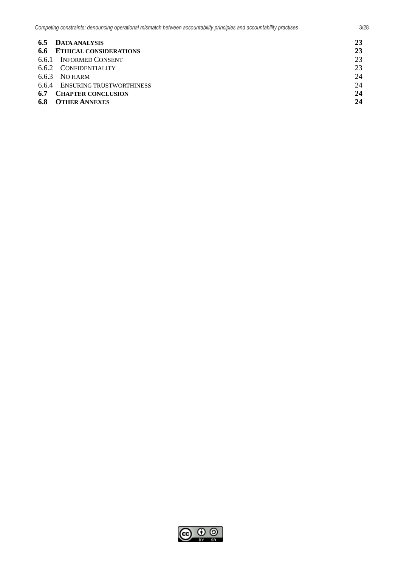| <b>6.5 DATA ANALYSIS</b>          | 23 |
|-----------------------------------|----|
| <b>6.6 ETHICAL CONSIDERATIONS</b> | 23 |
| 6.6.1 INFORMED CONSENT            | 23 |
| 6.6.2 CONFIDENTIALITY             | 23 |
| $6.6.3$ NO HARM                   | 24 |
| 6.6.4 ENSURING TRUSTWORTHINESS    | 24 |
| 6.7<br><b>CHAPTER CONCLUSION</b>  | 24 |
| <b>OTHER ANNEXES</b><br>6.8       | 24 |

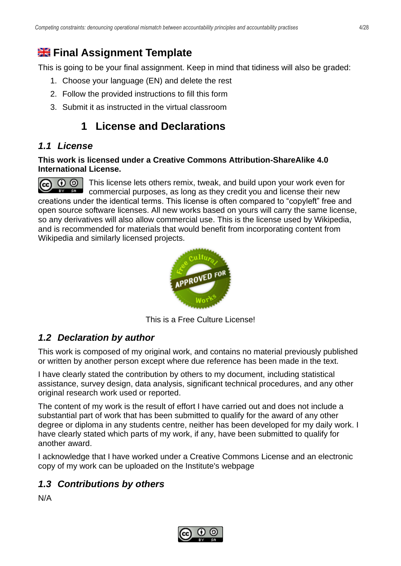# <span id="page-3-0"></span>**Hangel Assignment Template**

This is going to be your final assignment. Keep in mind that tidiness will also be graded:

- 1. Choose your language (EN) and delete the rest
- 2. Follow the provided instructions to fill this form
- <span id="page-3-1"></span>3. Submit it as instructed in the virtual classroom

# **1 License and Declarations**

## <span id="page-3-2"></span>*1.1 License*

#### **This work is licensed under a Creative Commons Attribution-ShareAlike 4.0 International License.**

This license lets others remix, tweak, and build upon your work even for ൈ  $\left(\mathrm{cc}\right)$ EY SA commercial purposes, as long as they credit you and license their new creations under the identical terms. This license is often compared to "copyleft" free and open source software licenses. All new works based on yours will carry the same license, so any derivatives will also allow commercial use. This is the license used by Wikipedia, and is recommended for materials that would benefit from incorporating content from Wikipedia and similarly licensed projects.



This is a Free Culture License!

## <span id="page-3-3"></span>*1.2 Declaration by author*

This work is composed of my original work, and contains no material previously published or written by another person except where due reference has been made in the text.

I have clearly stated the contribution by others to my document, including statistical assistance, survey design, data analysis, significant technical procedures, and any other original research work used or reported.

The content of my work is the result of effort I have carried out and does not include a substantial part of work that has been submitted to qualify for the award of any other degree or diploma in any students centre, neither has been developed for my daily work. I have clearly stated which parts of my work, if any, have been submitted to qualify for another award.

I acknowledge that I have worked under a Creative Commons License and an electronic copy of my work can be uploaded on the Institute's webpage

## <span id="page-3-4"></span>*1.3 Contributions by others*

N/A

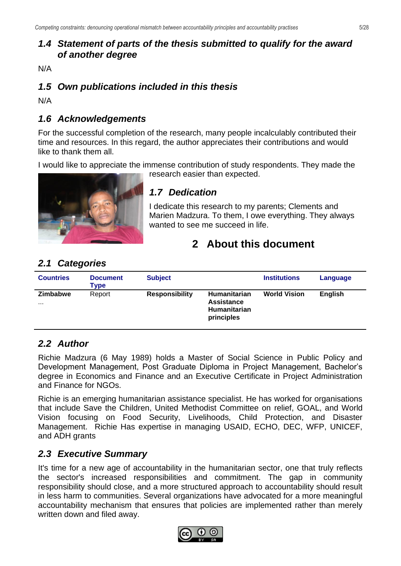## <span id="page-4-0"></span>*1.4 Statement of parts of the thesis submitted to qualify for the award of another degree*

N/A

## <span id="page-4-1"></span>*1.5 Own publications included in this thesis*

N/A

## <span id="page-4-2"></span>*1.6 Acknowledgements*

For the successful completion of the research, many people incalculably contributed their time and resources. In this regard, the author appreciates their contributions and would like to thank them all.

I would like to appreciate the immense contribution of study respondents. They made the research easier than expected.



## <span id="page-4-3"></span>*1.7 Dedication*

<span id="page-4-4"></span>I dedicate this research to my parents; Clements and Marien Madzura. To them, I owe everything. They always wanted to see me succeed in life.

# **2 About this document**

## <span id="page-4-5"></span>*2.1 Categories*

| <b>Countries</b>            | <b>Document</b><br>Type | <b>Subject</b>        |                                                                 | <b>Institutions</b> | Language       |
|-----------------------------|-------------------------|-----------------------|-----------------------------------------------------------------|---------------------|----------------|
| <b>Zimbabwe</b><br>$\cdots$ | Report                  | <b>Responsibility</b> | Humanitarian<br><b>Assistance</b><br>Humanitarian<br>principles | <b>World Vision</b> | <b>English</b> |

## <span id="page-4-6"></span>*2.2 Author*

Richie Madzura (6 May 1989) holds a Master of Social Science in Public Policy and Development Management, Post Graduate Diploma in Project Management, Bachelor's degree in Economics and Finance and an Executive Certificate in Project Administration and Finance for NGOs.

Richie is an emerging humanitarian assistance specialist. He has worked for organisations that include Save the Children, United Methodist Committee on relief, GOAL, and World Vision focusing on Food Security, Livelihoods, Child Protection, and Disaster Management. Richie Has expertise in managing USAID, ECHO, DEC, WFP, UNICEF, and ADH grants

## <span id="page-4-7"></span>*2.3 Executive Summary*

It's time for a new age of accountability in the humanitarian sector, one that truly reflects the sector's increased responsibilities and commitment. The gap in community responsibility should close, and a more structured approach to accountability should result in less harm to communities. Several organizations have advocated for a more meaningful accountability mechanism that ensures that policies are implemented rather than merely written down and filed away.

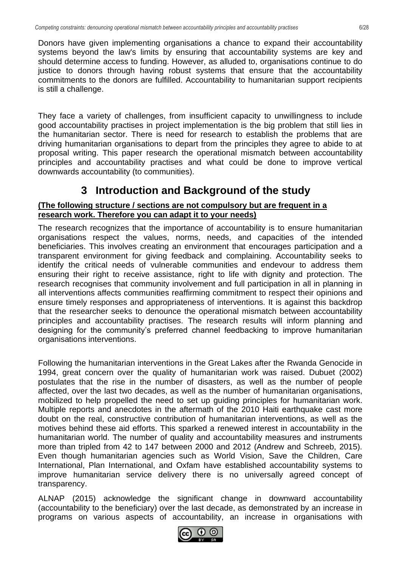Donors have given implementing organisations a chance to expand their accountability systems beyond the law's limits by ensuring that accountability systems are key and should determine access to funding. However, as alluded to, organisations continue to do justice to donors through having robust systems that ensure that the accountability commitments to the donors are fulfilled. Accountability to humanitarian support recipients is still a challenge.

They face a variety of challenges, from insufficient capacity to unwillingness to include good accountability practises in project implementation is the big problem that still lies in the humanitarian sector. There is need for research to establish the problems that are driving humanitarian organisations to depart from the principles they agree to abide to at proposal writing. This paper research the operational mismatch between accountability principles and accountability practises and what could be done to improve vertical downwards accountability (to communities).

# **3 Introduction and Background of the study**

### <span id="page-5-0"></span>**(The following structure / sections are not compulsory but are frequent in a research work. Therefore you can adapt it to your needs)**

The research recognizes that the importance of accountability is to ensure humanitarian organisations respect the values, norms, needs, and capacities of the intended beneficiaries. This involves creating an environment that encourages participation and a transparent environment for giving feedback and complaining. Accountability seeks to identify the critical needs of vulnerable communities and endevour to address them ensuring their right to receive assistance, right to life with dignity and protection. The research recognises that community involvement and full participation in all in planning in all interventions affects communities reaffirming commitment to respect their opinions and ensure timely responses and appropriateness of interventions. It is against this backdrop that the researcher seeks to denounce the operational mismatch between accountability principles and accountability practises. The research results will inform planning and designing for the community's preferred channel feedbacking to improve humanitarian organisations interventions.

Following the humanitarian interventions in the Great Lakes after the Rwanda Genocide in 1994, great concern over the quality of humanitarian work was raised. Dubuet (2002) postulates that the rise in the number of disasters, as well as the number of people affected, over the last two decades, as well as the number of humanitarian organisations, mobilized to help propelled the need to set up guiding principles for humanitarian work. Multiple reports and anecdotes in the aftermath of the 2010 Haiti earthquake cast more doubt on the real, constructive contribution of humanitarian interventions, as well as the motives behind these aid efforts. This sparked a renewed interest in accountability in the humanitarian world. The number of quality and accountability measures and instruments more than tripled from 42 to 147 between 2000 and 2012 (Andrew and Schreeb, 2015). Even though humanitarian agencies such as World Vision, Save the Children, Care International, Plan International, and Oxfam have established accountability systems to improve humanitarian service delivery there is no universally agreed concept of transparency.

ALNAP (2015) acknowledge the significant change in downward accountability (accountability to the beneficiary) over the last decade, as demonstrated by an increase in programs on various aspects of accountability, an increase in organisations with

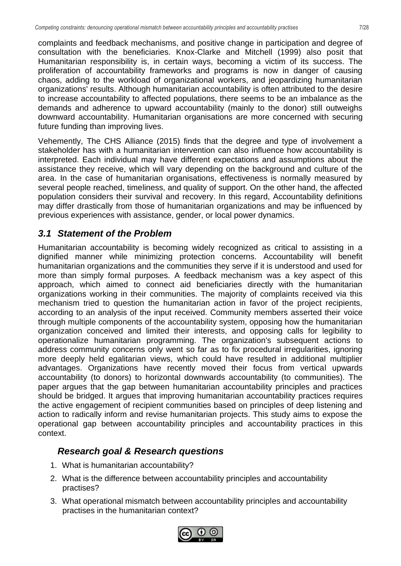complaints and feedback mechanisms, and positive change in participation and degree of consultation with the beneficiaries. Knox-Clarke and Mitchell (1999) also posit that Humanitarian responsibility is, in certain ways, becoming a victim of its success. The proliferation of accountability frameworks and programs is now in danger of causing chaos, adding to the workload of organizational workers, and jeopardizing humanitarian organizations' results. Although humanitarian accountability is often attributed to the desire to increase accountability to affected populations, there seems to be an imbalance as the demands and adherence to upward accountability (mainly to the donor) still outweighs downward accountability. Humanitarian organisations are more concerned with securing future funding than improving lives.

Vehemently, The CHS Alliance (2015) finds that the degree and type of involvement a stakeholder has with a humanitarian intervention can also influence how accountability is interpreted. Each individual may have different expectations and assumptions about the assistance they receive, which will vary depending on the background and culture of the area. In the case of humanitarian organisations, effectiveness is normally measured by several people reached, timeliness, and quality of support. On the other hand, the affected population considers their survival and recovery. In this regard, Accountability definitions may differ drastically from those of humanitarian organizations and may be influenced by previous experiences with assistance, gender, or local power dynamics.

# <span id="page-6-0"></span>*3.1 Statement of the Problem*

Humanitarian accountability is becoming widely recognized as critical to assisting in a dignified manner while minimizing protection concerns. Accountability will benefit humanitarian organizations and the communities they serve if it is understood and used for more than simply formal purposes. A feedback mechanism was a key aspect of this approach, which aimed to connect aid beneficiaries directly with the humanitarian organizations working in their communities. The majority of complaints received via this mechanism tried to question the humanitarian action in favor of the project recipients, according to an analysis of the input received. Community members asserted their voice through multiple components of the accountability system, opposing how the humanitarian organization conceived and limited their interests, and opposing calls for legibility to operationalize humanitarian programming. The organization's subsequent actions to address community concerns only went so far as to fix procedural irregularities, ignoring more deeply held egalitarian views, which could have resulted in additional multiplier advantages. Organizations have recently moved their focus from vertical upwards accountability (to donors) to horizontal downwards accountability (to communities). The paper argues that the gap between humanitarian accountability principles and practices should be bridged. It argues that improving humanitarian accountability practices requires the active engagement of recipient communities based on principles of deep listening and action to radically inform and revise humanitarian projects. This study aims to expose the operational gap between accountability principles and accountability practices in this context.

## <span id="page-6-1"></span>*Research goal & Research questions*

- 1. What is humanitarian accountability?
- 2. What is the difference between accountability principles and accountability practises?
- 3. What operational mismatch between accountability principles and accountability practises in the humanitarian context?

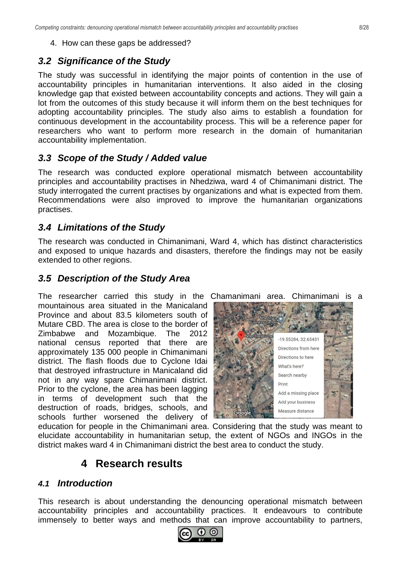### <span id="page-7-0"></span>*3.2 Significance of the Study*

The study was successful in identifying the major points of contention in the use of accountability principles in humanitarian interventions. It also aided in the closing knowledge gap that existed between accountability concepts and actions. They will gain a lot from the outcomes of this study because it will inform them on the best techniques for adopting accountability principles. The study also aims to establish a foundation for continuous development in the accountability process. This will be a reference paper for researchers who want to perform more research in the domain of humanitarian accountability implementation.

### <span id="page-7-1"></span>*3.3 Scope of the Study / Added value*

The research was conducted explore operational mismatch between accountability principles and accountability practises in Nhedziwa, ward 4 of Chimanimani district. The study interrogated the current practises by organizations and what is expected from them. Recommendations were also improved to improve the humanitarian organizations practises.

### <span id="page-7-2"></span>*3.4 Limitations of the Study*

The research was conducted in Chimanimani, Ward 4, which has distinct characteristics and exposed to unique hazards and disasters, therefore the findings may not be easily extended to other regions.

### <span id="page-7-3"></span>*3.5 Description of the Study Area*

The researcher carried this study in the Chamanimani area. Chimanimani is a mountainous area situated in the Manicaland Province and about 83.5 kilometers south of Mutare CBD. The area is close to the border of Zimbabwe and Mozambique. The 2012 national census reported that there are approximately 135 000 people in Chimanimani district. The flash floods due to Cyclone Idai that destroyed infrastructure in Manicaland did not in any way spare Chimanimani district. Prior to the cyclone, the area has been lagging in terms of development such that the destruction of roads, bridges, schools, and schools further worsened the delivery of



<span id="page-7-4"></span>education for people in the Chimanimani area. Considering that the study was meant to elucidate accountability in humanitarian setup, the extent of NGOs and INGOs in the district makes ward 4 in Chimanimani district the best area to conduct the study.

## **4 Research results**

### <span id="page-7-5"></span>*4.1 Introduction*

This research is about understanding the denouncing operational mismatch between accountability principles and accountability practices. It endeavours to contribute immensely to better ways and methods that can improve accountability to partners,

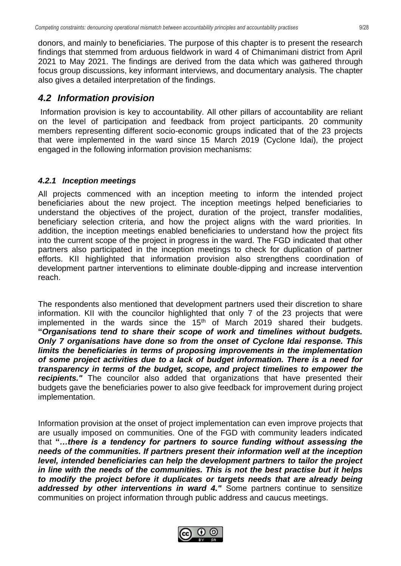donors, and mainly to beneficiaries. The purpose of this chapter is to present the research findings that stemmed from arduous fieldwork in ward 4 of Chimanimani district from April 2021 to May 2021. The findings are derived from the data which was gathered through focus group discussions, key informant interviews, and documentary analysis. The chapter also gives a detailed interpretation of the findings.

## <span id="page-8-0"></span>*4.2 Information provision*

Information provision is key to accountability. All other pillars of accountability are reliant on the level of participation and feedback from project participants. 20 community members representing different socio-economic groups indicated that of the 23 projects that were implemented in the ward since 15 March 2019 (Cyclone Idai), the project engaged in the following information provision mechanisms:

### <span id="page-8-1"></span>*4.2.1 Inception meetings*

All projects commenced with an inception meeting to inform the intended project beneficiaries about the new project. The inception meetings helped beneficiaries to understand the objectives of the project, duration of the project, transfer modalities, beneficiary selection criteria, and how the project aligns with the ward priorities. In addition, the inception meetings enabled beneficiaries to understand how the project fits into the current scope of the project in progress in the ward. The FGD indicated that other partners also participated in the inception meetings to check for duplication of partner efforts. KII highlighted that information provision also strengthens coordination of development partner interventions to eliminate double-dipping and increase intervention reach.

The respondents also mentioned that development partners used their discretion to share information. KII with the councilor highlighted that only 7 of the 23 projects that were implemented in the wards since the  $15<sup>th</sup>$  of March 2019 shared their budgets. **"***Organisations tend to share their scope of work and timelines without budgets. Only 7 organisations have done so from the onset of Cyclone Idai response. This limits the beneficiaries in terms of proposing improvements in the implementation of some project activities due to a lack of budget information. There is a need for transparency in terms of the budget, scope, and project timelines to empower the recipients."* The councilor also added that organizations that have presented their budgets gave the beneficiaries power to also give feedback for improvement during project implementation.

Information provision at the onset of project implementation can even improve projects that are usually imposed on communities. One of the FGD with community leaders indicated that **"***…there is a tendency for partners to source funding without assessing the needs of the communities. If partners present their information well at the inception level, intended beneficiaries can help the development partners to tailor the project in line with the needs of the communities. This is not the best practise but it helps*  to modify the project before it duplicates or targets needs that are already being addressed by other *interventions in ward 4."* Some partners continue to sensitize communities on project information through public address and caucus meetings.

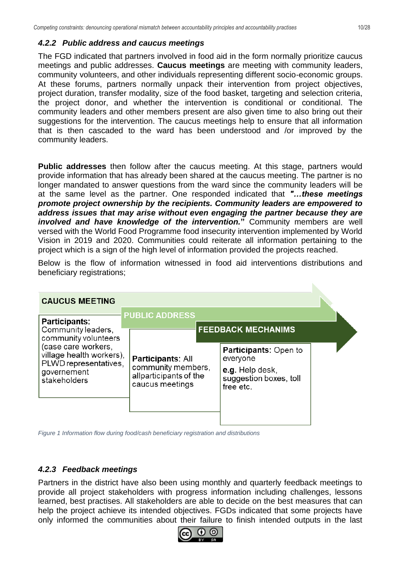#### <span id="page-9-0"></span>*4.2.2 Public address and caucus meetings*

The FGD indicated that partners involved in food aid in the form normally prioritize caucus meetings and public addresses. **Caucus meetings** are meeting with community leaders, community volunteers, and other individuals representing different socio-economic groups. At these forums, partners normally unpack their intervention from project objectives, project duration, transfer modality, size of the food basket, targeting and selection criteria, the project donor, and whether the intervention is conditional or conditional. The community leaders and other members present are also given time to also bring out their suggestions for the intervention. The caucus meetings help to ensure that all information that is then cascaded to the ward has been understood and /or improved by the community leaders.

**Public addresses** then follow after the caucus meeting. At this stage, partners would provide information that has already been shared at the caucus meeting. The partner is no longer mandated to answer questions from the ward since the community leaders will be at the same level as the partner. One responded indicated that *"…these meetings promote project ownership by the recipients. Community leaders are empowered to address issues that may arise without even engaging the partner because they are involved and have knowledge of the intervention.*" Community members are well versed with the World Food Programme food insecurity intervention implemented by World Vision in 2019 and 2020. Communities could reiterate all information pertaining to the project which is a sign of the high level of information provided the projects reached.

Below is the flow of information witnessed in food aid interventions distributions and beneficiary registrations;

| <b>CAUCUS MEETING</b>                                                                                   |                                                                                             |                                                                                                    |  |
|---------------------------------------------------------------------------------------------------------|---------------------------------------------------------------------------------------------|----------------------------------------------------------------------------------------------------|--|
| <b>Participants:</b><br>Community leaders,<br>community volunteers                                      | <b>PUBLIC ADDRESS</b>                                                                       | <b>FEEDBACK MECHANIMS</b>                                                                          |  |
| (case care workers,<br>village health workers),<br>PLWD representatives,<br>governement<br>stakeholders | <b>Participants: All</b><br>community members,<br>allparticipants of the<br>caucus meetings | <b>Participants: Open to</b><br>everyone<br>e.g. Help desk,<br>suggestion boxes, toll<br>free etc. |  |

*Figure 1 Information flow during food/cash beneficiary registration and distributions*

#### <span id="page-9-1"></span>*4.2.3 Feedback meetings*

Partners in the district have also been using monthly and quarterly feedback meetings to provide all project stakeholders with progress information including challenges, lessons learned, best practises. All stakeholders are able to decide on the best measures that can help the project achieve its intended objectives. FGDs indicated that some projects have only informed the communities about their failure to finish intended outputs in the last

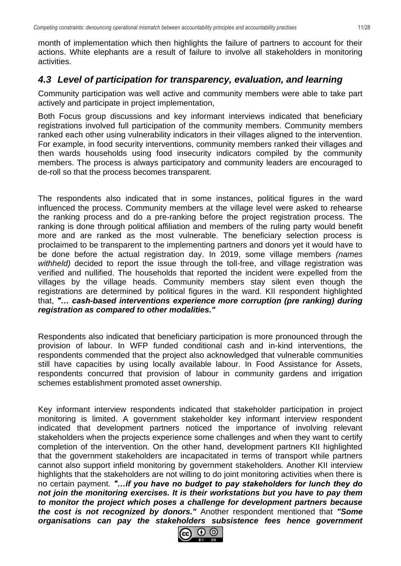month of implementation which then highlights the failure of partners to account for their actions. White elephants are a result of failure to involve all stakeholders in monitoring activities.

### <span id="page-10-0"></span>*4.3 Level of participation for transparency, evaluation, and learning*

Community participation was well active and community members were able to take part actively and participate in project implementation,

Both Focus group discussions and key informant interviews indicated that beneficiary registrations involved full participation of the community members. Community members ranked each other using vulnerability indicators in their villages aligned to the intervention. For example, in food security interventions, community members ranked their villages and then wards households using food insecurity indicators compiled by the community members. The process is always participatory and community leaders are encouraged to de-roll so that the process becomes transparent.

The respondents also indicated that in some instances, political figures in the ward influenced the process. Community members at the village level were asked to rehearse the ranking process and do a pre-ranking before the project registration process. The ranking is done through political affiliation and members of the ruling party would benefit more and are ranked as the most vulnerable. The beneficiary selection process is proclaimed to be transparent to the implementing partners and donors yet it would have to be done before the actual registration day. In 2019, some village members *(names*  withheld) decided to report the issue through the toll-free, and village registration was verified and nullified. The households that reported the incident were expelled from the villages by the village heads. Community members stay silent even though the registrations are determined by political figures in the ward. KII respondent highlighted that, *"… cash-based interventions experience more corruption (pre ranking) during registration as compared to other modalities."*

Respondents also indicated that beneficiary participation is more pronounced through the provision of labour. In WFP funded conditional cash and in-kind interventions, the respondents commended that the project also acknowledged that vulnerable communities still have capacities by using locally available labour. In Food Assistance for Assets, respondents concurred that provision of labour in community gardens and irrigation schemes establishment promoted asset ownership.

Key informant interview respondents indicated that stakeholder participation in project monitoring is limited. A government stakeholder key informant interview respondent indicated that development partners noticed the importance of involving relevant stakeholders when the projects experience some challenges and when they want to certify completion of the intervention. On the other hand, development partners KII highlighted that the government stakeholders are incapacitated in terms of transport while partners cannot also support infield monitoring by government stakeholders. Another KII interview highlights that the stakeholders are not willing to do joint monitoring activities when there is no certain payment. *"…if you have no budget to pay stakeholders for lunch they do not join the monitoring exercises. It is their workstations but you have to pay them to monitor the project which poses a challenge for development partners because the cost is not recognized by donors."* Another respondent mentioned that *"Some organisations can pay the stakeholders subsistence fees hence government* 

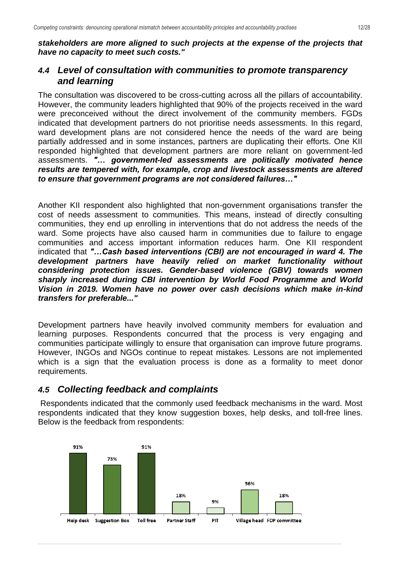*stakeholders are more aligned to such projects at the expense of the projects that have no capacity to meet such costs."*

### <span id="page-11-0"></span>*4.4 Level of consultation with communities to promote transparency and learning*

The consultation was discovered to be cross-cutting across all the pillars of accountability. However, the community leaders highlighted that 90% of the projects received in the ward were preconceived without the direct involvement of the community members. FGDs indicated that development partners do not prioritise needs assessments. In this regard, ward development plans are not considered hence the needs of the ward are being partially addressed and in some instances, partners are duplicating their efforts. One KII responded highlighted that development partners are more reliant on government-led assessments. *"… government-led assessments are politically motivated hence results are tempered with, for example, crop and livestock assessments are altered to ensure that government programs are not considered failures…"*

Another KII respondent also highlighted that non-government organisations transfer the cost of needs assessment to communities. This means, instead of directly consulting communities, they end up enrolling in interventions that do not address the needs of the ward. Some projects have also caused harm in communities due to failure to engage communities and access important information reduces harm. One KII respondent indicated that *"…Cash based interventions (CBI) are not encouraged in ward 4. The development partners have heavily relied on market functionality without considering protection issues. Gender-based violence (GBV) towards women sharply increased during CBI intervention by World Food Programme and World Vision in 2019. Women have no power over cash decisions which make in-kind transfers for preferable..."*

Development partners have heavily involved community members for evaluation and learning purposes. Respondents concurred that the process is very engaging and communities participate willingly to ensure that organisation can improve future programs. However, INGOs and NGOs continue to repeat mistakes. Lessons are not implemented which is a sign that the evaluation process is done as a formality to meet donor requirements.

## <span id="page-11-1"></span>*4.5 Collecting feedback and complaints*

Respondents indicated that the commonly used feedback mechanisms in the ward. Most respondents indicated that they know suggestion boxes, help desks, and toll-free lines. Below is the feedback from respondents:

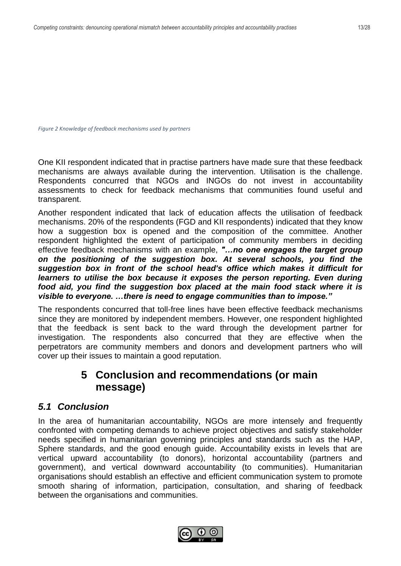*Figure 2 Knowledge of feedback mechanisms used by partners*

One KII respondent indicated that in practise partners have made sure that these feedback mechanisms are always available during the intervention. Utilisation is the challenge. Respondents concurred that NGOs and INGOs do not invest in accountability assessments to check for feedback mechanisms that communities found useful and transparent.

Another respondent indicated that lack of education affects the utilisation of feedback mechanisms. 20% of the respondents (FGD and KII respondents) indicated that they know how a suggestion box is opened and the composition of the committee. Another respondent highlighted the extent of participation of community members in deciding effective feedback mechanisms with an example, *"…no one engages the target group on the positioning of the suggestion box. At several schools, you find the suggestion box in front of the school head's office which makes it difficult for learners to utilise the box because it exposes the person reporting. Even during* food aid, you find the suggestion box placed at the main food stack where it is *visible to everyone. …there is need to engage communities than to impose."*

The respondents concurred that toll-free lines have been effective feedback mechanisms since they are monitored by independent members. However, one respondent highlighted that the feedback is sent back to the ward through the development partner for investigation. The respondents also concurred that they are effective when the perpetrators are community members and donors and development partners who will cover up their issues to maintain a good reputation.

# <span id="page-12-0"></span>**5 Conclusion and recommendations (or main message)**

## <span id="page-12-1"></span>*5.1 Conclusion*

In the area of humanitarian accountability, NGOs are more intensely and frequently confronted with competing demands to achieve project objectives and satisfy stakeholder needs specified in humanitarian governing principles and standards such as the HAP, Sphere standards, and the good enough guide. Accountability exists in levels that are vertical upward accountability (to donors), horizontal accountability (partners and government), and vertical downward accountability (to communities). Humanitarian organisations should establish an effective and efficient communication system to promote smooth sharing of information, participation, consultation, and sharing of feedback between the organisations and communities.

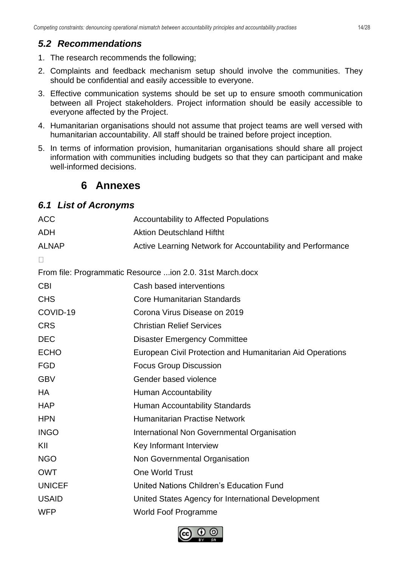## <span id="page-13-0"></span>*5.2 Recommendations*

- 1. The research recommends the following;
- 2. Complaints and feedback mechanism setup should involve the communities. They should be confidential and easily accessible to everyone.
- 3. Effective communication systems should be set up to ensure smooth communication between all Project stakeholders. Project information should be easily accessible to everyone affected by the Project.
- 4. Humanitarian organisations should not assume that project teams are well versed with humanitarian accountability. All staff should be trained before project inception.
- <span id="page-13-1"></span>5. In terms of information provision, humanitarian organisations should share all project information with communities including budgets so that they can participant and make well-informed decisions.

## **6 Annexes**

### <span id="page-13-2"></span>*6.1 List of Acronyms*

| <b>ACC</b>    | <b>Accountability to Affected Populations</b>              |
|---------------|------------------------------------------------------------|
| <b>ADH</b>    | <b>Aktion Deutschland Hiftht</b>                           |
| <b>ALNAP</b>  | Active Learning Network for Accountability and Performance |
| $\mathbf{L}$  |                                                            |
|               | From file: Programmatic Resource ion 2.0. 31st March.docx  |
| <b>CBI</b>    | Cash based interventions                                   |
| <b>CHS</b>    | <b>Core Humanitarian Standards</b>                         |
| COVID-19      | Corona Virus Disease on 2019                               |
| <b>CRS</b>    | <b>Christian Relief Services</b>                           |
| <b>DEC</b>    | <b>Disaster Emergency Committee</b>                        |
| <b>ECHO</b>   | European Civil Protection and Humanitarian Aid Operations  |
| <b>FGD</b>    | <b>Focus Group Discussion</b>                              |
| <b>GBV</b>    | Gender based violence                                      |
| <b>HA</b>     | Human Accountability                                       |
| <b>HAP</b>    | <b>Human Accountability Standards</b>                      |
| <b>HPN</b>    | <b>Humanitarian Practise Network</b>                       |
| <b>INGO</b>   | International Non Governmental Organisation                |
| KII           | Key Informant Interview                                    |
| <b>NGO</b>    | Non Governmental Organisation                              |
| <b>OWT</b>    | <b>One World Trust</b>                                     |
| <b>UNICEF</b> | United Nations Children's Education Fund                   |
| <b>USAID</b>  | United States Agency for International Development         |
| <b>WFP</b>    | <b>World Foof Programme</b>                                |
|               |                                                            |

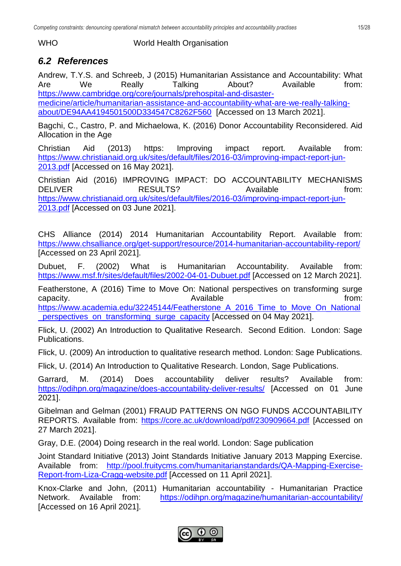WHO World Health Organisation

## <span id="page-14-0"></span>*6.2 References*

Andrew, T.Y.S. and Schreeb, J (2015) Humanitarian Assistance and Accountability: What Are We Really Talking About? Available from: [https://www.cambridge.org/core/journals/prehospital-and-disaster](https://www.cambridge.org/core/journals/prehospital-and-disaster-medicine/article/humanitarian-assistance-and-accountability-what-are-we-really-talking-about/DE94AA4194501500D334547C8262F560)[medicine/article/humanitarian-assistance-and-accountability-what-are-we-really-talking](https://www.cambridge.org/core/journals/prehospital-and-disaster-medicine/article/humanitarian-assistance-and-accountability-what-are-we-really-talking-about/DE94AA4194501500D334547C8262F560)[about/DE94AA4194501500D334547C8262F560](https://www.cambridge.org/core/journals/prehospital-and-disaster-medicine/article/humanitarian-assistance-and-accountability-what-are-we-really-talking-about/DE94AA4194501500D334547C8262F560) [Accessed on 13 March 2021].

Bagchi, C., Castro, P. and Michaelowa, K. (2016) Donor Accountability Reconsidered. Aid Allocation in the Age

Christian Aid (2013) https: Improving impact report. Available from: [https://www.christianaid.org.uk/sites/default/files/2016-03/improving-impact-report-jun-](https://www.christianaid.org.uk/sites/default/files/2016-03/improving-impact-report-jun-2013.pdf)[2013.pdf](https://www.christianaid.org.uk/sites/default/files/2016-03/improving-impact-report-jun-2013.pdf) [Accessed on 16 May 2021].

Christian Aid (2016) IMPROVING IMPACT: DO ACCOUNTABILITY MECHANISMS DELIVER RESULTS? Available from: [https://www.christianaid.org.uk/sites/default/files/2016-03/improving-impact-report-jun-](https://www.christianaid.org.uk/sites/default/files/2016-03/improving-impact-report-jun-2013.pdf)[2013.pdf](https://www.christianaid.org.uk/sites/default/files/2016-03/improving-impact-report-jun-2013.pdf) [Accessed on 03 June 2021].

CHS Alliance (2014) 2014 Humanitarian Accountability Report. Available from: <https://www.chsalliance.org/get-support/resource/2014-humanitarian-accountability-report/> [Accessed on 23 April 2021].

Dubuet, F. (2002) What is Humanitarian Accountability. Available from: <https://www.msf.fr/sites/default/files/2002-04-01-Dubuet.pdf> [Accessed on 12 March 2021].

Featherstone, A (2016) Time to Move On: National perspectives on transforming surge capacity. The capacity capacity capacity capacity.

[https://www.academia.edu/32245144/Featherstone\\_A\\_2016\\_Time\\_to\\_Move\\_On\\_National](https://www.academia.edu/32245144/Featherstone_A_2016_Time_to_Move_On_National_perspectives_on_transforming_surge_capacity) **perspectives\_on\_transforming\_surge\_capacity [Accessed on 04 May 2021].** 

Flick, U. (2002) An Introduction to Qualitative Research. Second Edition. London: Sage Publications.

Flick, U. (2009) An introduction to qualitative research method. London: Sage Publications.

Flick, U. (2014) An Introduction to Qualitative Research. London, Sage Publications.

Garrard, M. (2014) Does accountability deliver results? Available from: <https://odihpn.org/magazine/does-accountability-deliver-results/> [Accessed on 01 June 2021].

Gibelman and Gelman (2001) FRAUD PATTERNS ON NGO FUNDS ACCOUNTABILITY REPORTS. Available from: <https://core.ac.uk/download/pdf/230909664.pdf> [Accessed on 27 March 2021].

Gray, D.E. (2004) Doing research in the real world. London: Sage publication

Joint Standard Initiative (2013) Joint Standards Initiative January 2013 Mapping Exercise. Available from: [http://pool.fruitycms.com/humanitarianstandards/QA-Mapping-Exercise-](http://pool.fruitycms.com/humanitarianstandards/QA-Mapping-Exercise-Report-from-Liza-Cragg-website.pdf)[Report-from-Liza-Cragg-website.pdf](http://pool.fruitycms.com/humanitarianstandards/QA-Mapping-Exercise-Report-from-Liza-Cragg-website.pdf) [Accessed on 11 April 2021].

Knox-Clarke and John, (2011) Humanitarian accountability - Humanitarian Practice Network. Available from: <https://odihpn.org/magazine/humanitarian-accountability/> [Accessed on 16 April 2021].

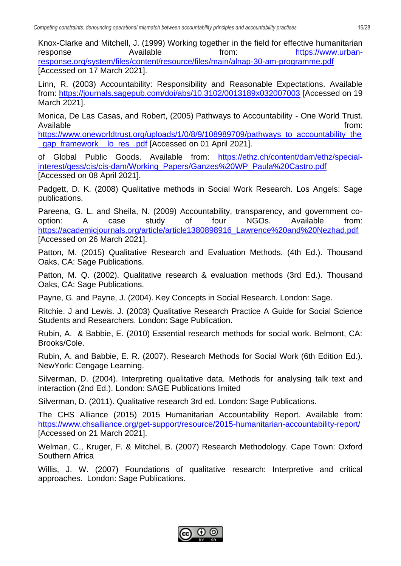Knox-Clarke and Mitchell, J. (1999) Working together in the field for effective humanitarian response **Available Available from:** [https://www.urban](https://www.urban-response.org/system/files/content/resource/files/main/alnap-30-am-programme.pdf)[response.org/system/files/content/resource/files/main/alnap-30-am-programme.pdf](https://www.urban-response.org/system/files/content/resource/files/main/alnap-30-am-programme.pdf) [Accessed on 17 March 2021].

Linn, R. (2003) Accountability: Responsibility and Reasonable Expectations. Available from:<https://journals.sagepub.com/doi/abs/10.3102/0013189x032007003> [Accessed on 19 March 2021].

Monica, De Las Casas, and Robert, (2005) Pathways to Accountability - One World Trust. Available from:

[https://www.oneworldtrust.org/uploads/1/0/8/9/108989709/pathways\\_to\\_accountability\\_the](https://www.oneworldtrust.org/uploads/1/0/8/9/108989709/pathways_to_accountability_the_gap_framework__lo_res_.pdf) qap\_framework lo\_res\_.pdf [Accessed on 01 April 2021].

of Global Public Goods. Available from: [https://ethz.ch/content/dam/ethz/special](https://ethz.ch/content/dam/ethz/special-interest/gess/cis/cis-dam/Working_Papers/Ganzes%20WP_Paula%20Castro.pdf)[interest/gess/cis/cis-dam/Working\\_Papers/Ganzes%20WP\\_Paula%20Castro.pdf](https://ethz.ch/content/dam/ethz/special-interest/gess/cis/cis-dam/Working_Papers/Ganzes%20WP_Paula%20Castro.pdf) [Accessed on 08 April 2021].

Padgett, D. K. (2008) Qualitative methods in Social Work Research. Los Angels: Sage publications.

Pareena, G. L. and Sheila, N. (2009) Accountability, transparency, and government cooption: A case study of four NGOs. Available from: [https://academicjournals.org/article/article1380898916\\_Lawrence%20and%20Nezhad.pdf](https://academicjournals.org/article/article1380898916_Lawrence%20and%20Nezhad.pdf) [Accessed on 26 March 2021].

Patton, M. (2015) Qualitative Research and Evaluation Methods. (4th Ed.). Thousand Oaks, CA: Sage Publications.

Patton, M. Q. (2002). Qualitative research & evaluation methods (3rd Ed.). Thousand Oaks, CA: Sage Publications.

Payne, G. and Payne, J. (2004). Key Concepts in Social Research. London: Sage.

Ritchie. J and Lewis. J. (2003) Qualitative Research Practice A Guide for Social Science Students and Researchers. London: Sage Publication.

Rubin, A. & Babbie, E. (2010) Essential research methods for social work. Belmont, CA: Brooks/Cole.

Rubin, A. and Babbie, E. R. (2007). Research Methods for Social Work (6th Edition Ed.). NewYork: Cengage Learning.

Silverman, D. (2004). Interpreting qualitative data. Methods for analysing talk text and interaction (2nd Ed.). London: SAGE Publications limited

Silverman, D. (2011). Qualitative research 3rd ed. London: Sage Publications.

The CHS Alliance (2015) 2015 Humanitarian Accountability Report. Available from: <https://www.chsalliance.org/get-support/resource/2015-humanitarian-accountability-report/> [Accessed on 21 March 2021].

Welman, C., Kruger, F. & Mitchel, B. (2007) Research Methodology. Cape Town: Oxford Southern Africa

Willis, J. W. (2007) Foundations of qualitative research: Interpretive and critical approaches. London: Sage Publications.

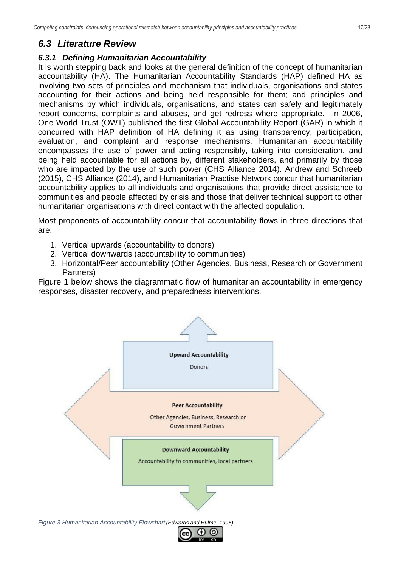## <span id="page-16-0"></span>*6.3 Literature Review*

### <span id="page-16-1"></span>*6.3.1 Defining Humanitarian Accountability*

It is worth stepping back and looks at the general definition of the concept of humanitarian accountability (HA). The Humanitarian Accountability Standards (HAP) defined HA as involving two sets of principles and mechanism that individuals, organisations and states accounting for their actions and being held responsible for them; and principles and mechanisms by which individuals, organisations, and states can safely and legitimately report concerns, complaints and abuses, and get redress where appropriate. In 2006, One World Trust (OWT) published the first Global Accountability Report (GAR) in which it concurred with HAP definition of HA defining it as using transparency, participation, evaluation, and complaint and response mechanisms. Humanitarian accountability encompasses the use of power and acting responsibly, taking into consideration, and being held accountable for all actions by, different stakeholders, and primarily by those who are impacted by the use of such power (CHS Alliance 2014). Andrew and Schreeb (2015), CHS Alliance (2014), and Humanitarian Practise Network concur that humanitarian accountability applies to all individuals and organisations that provide direct assistance to communities and people affected by crisis and those that deliver technical support to other humanitarian organisations with direct contact with the affected population.

Most proponents of accountability concur that accountability flows in three directions that are:

- 1. Vertical upwards (accountability to donors)
- 2. Vertical downwards (accountability to communities)
- 3. Horizontal/Peer accountability (Other Agencies, Business, Research or Government Partners)

Figure 1 below shows the diagrammatic flow of humanitarian accountability in emergency responses, disaster recovery, and preparedness interventions.

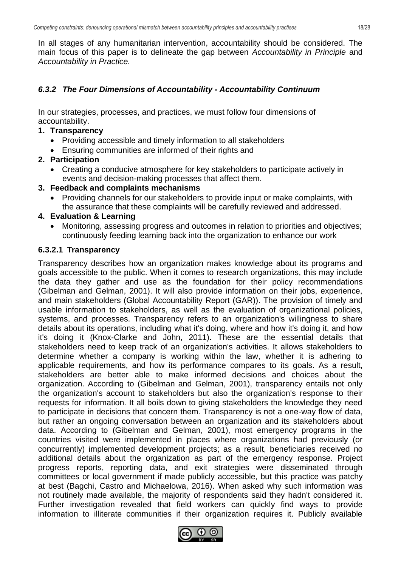In all stages of any humanitarian intervention, accountability should be considered. The main focus of this paper is to delineate the gap between *Accountability in Principle* and *Accountability in Practice.*

#### <span id="page-17-0"></span>*6.3.2 The Four Dimensions of Accountability - Accountability Continuum*

In our strategies, processes, and practices, we must follow four dimensions of accountability.

#### **1. Transparency**

- Providing accessible and timely information to all stakeholders
- Ensuring communities are informed of their rights and

#### **2. Participation**

• Creating a conducive atmosphere for key stakeholders to participate actively in events and decision-making processes that affect them.

#### **3. Feedback and complaints mechanisms**

• Providing channels for our stakeholders to provide input or make complaints, with the assurance that these complaints will be carefully reviewed and addressed.

#### **4. Evaluation & Learning**

• Monitoring, assessing progress and outcomes in relation to priorities and objectives; continuously feeding learning back into the organization to enhance our work

#### <span id="page-17-1"></span>**6.3.2.1 Transparency**

Transparency describes how an organization makes knowledge about its programs and goals accessible to the public. When it comes to research organizations, this may include the data they gather and use as the foundation for their policy recommendations (Gibelman and Gelman, 2001). It will also provide information on their jobs, experience, and main stakeholders (Global Accountability Report (GAR)). The provision of timely and usable information to stakeholders, as well as the evaluation of organizational policies, systems, and processes. Transparency refers to an organization's willingness to share details about its operations, including what it's doing, where and how it's doing it, and how it's doing it (Knox-Clarke and John, 2011). These are the essential details that stakeholders need to keep track of an organization's activities. It allows stakeholders to determine whether a company is working within the law, whether it is adhering to applicable requirements, and how its performance compares to its goals. As a result, stakeholders are better able to make informed decisions and choices about the organization. According to (Gibelman and Gelman, 2001), transparency entails not only the organization's account to stakeholders but also the organization's response to their requests for information. It all boils down to giving stakeholders the knowledge they need to participate in decisions that concern them. Transparency is not a one-way flow of data, but rather an ongoing conversation between an organization and its stakeholders about data. According to (Gibelman and Gelman, 2001), most emergency programs in the countries visited were implemented in places where organizations had previously (or concurrently) implemented development projects; as a result, beneficiaries received no additional details about the organization as part of the emergency response. Project progress reports, reporting data, and exit strategies were disseminated through committees or local government if made publicly accessible, but this practice was patchy at best (Bagchi, Castro and Michaelowa, 2016). When asked why such information was not routinely made available, the majority of respondents said they hadn't considered it. Further investigation revealed that field workers can quickly find ways to provide information to illiterate communities if their organization requires it. Publicly available

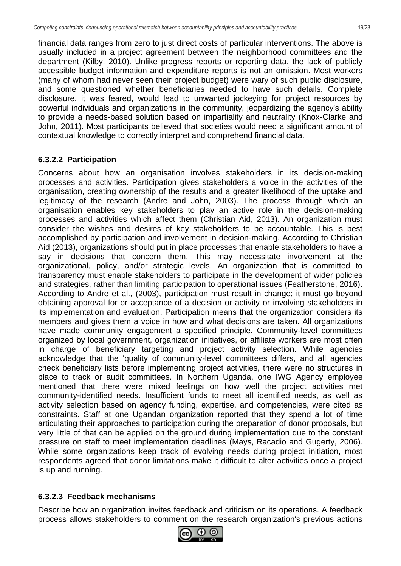financial data ranges from zero to just direct costs of particular interventions. The above is usually included in a project agreement between the neighborhood committees and the department (Kilby, 2010). Unlike progress reports or reporting data, the lack of publicly accessible budget information and expenditure reports is not an omission. Most workers (many of whom had never seen their project budget) were wary of such public disclosure, and some questioned whether beneficiaries needed to have such details. Complete disclosure, it was feared, would lead to unwanted jockeying for project resources by powerful individuals and organizations in the community, jeopardizing the agency's ability to provide a needs-based solution based on impartiality and neutrality (Knox-Clarke and John, 2011). Most participants believed that societies would need a significant amount of contextual knowledge to correctly interpret and comprehend financial data.

### <span id="page-18-0"></span>**6.3.2.2 Participation**

Concerns about how an organisation involves stakeholders in its decision-making processes and activities. Participation gives stakeholders a voice in the activities of the organisation, creating ownership of the results and a greater likelihood of the uptake and legitimacy of the research (Andre and John, 2003). The process through which an organisation enables key stakeholders to play an active role in the decision-making processes and activities which affect them (Christian Aid, 2013). An organization must consider the wishes and desires of key stakeholders to be accountable. This is best accomplished by participation and involvement in decision-making. According to Christian Aid (2013), organizations should put in place processes that enable stakeholders to have a say in decisions that concern them. This may necessitate involvement at the organizational, policy, and/or strategic levels. An organization that is committed to transparency must enable stakeholders to participate in the development of wider policies and strategies, rather than limiting participation to operational issues (Featherstone, 2016). According to Andre et al., (2003), participation must result in change; it must go beyond obtaining approval for or acceptance of a decision or activity or involving stakeholders in its implementation and evaluation. Participation means that the organization considers its members and gives them a voice in how and what decisions are taken. All organizations have made community engagement a specified principle. Community-level committees organized by local government, organization initiatives, or affiliate workers are most often in charge of beneficiary targeting and project activity selection. While agencies acknowledge that the 'quality of community-level committees differs, and all agencies check beneficiary lists before implementing project activities, there were no structures in place to track or audit committees. In Northern Uganda, one IWG Agency employee mentioned that there were mixed feelings on how well the project activities met community-identified needs. Insufficient funds to meet all identified needs, as well as activity selection based on agency funding, expertise, and competencies, were cited as constraints. Staff at one Ugandan organization reported that they spend a lot of time articulating their approaches to participation during the preparation of donor proposals, but very little of that can be applied on the ground during implementation due to the constant pressure on staff to meet implementation deadlines (Mays, Racadio and Gugerty, 2006). While some organizations keep track of evolving needs during project initiation, most respondents agreed that donor limitations make it difficult to alter activities once a project is up and running.

### <span id="page-18-1"></span>**6.3.2.3 Feedback mechanisms**

Describe how an organization invites feedback and criticism on its operations. A feedback process allows stakeholders to comment on the research organization's previous actions

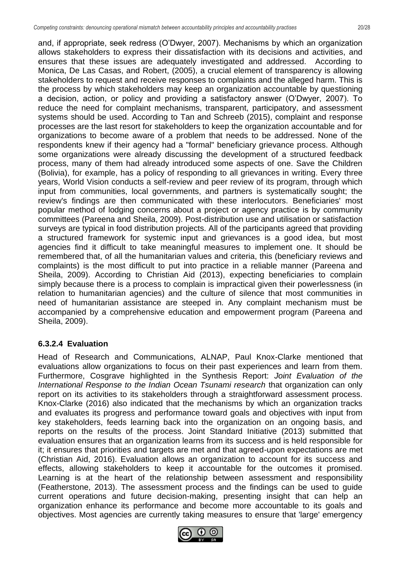and, if appropriate, seek redress (O'Dwyer, 2007). Mechanisms by which an organization allows stakeholders to express their dissatisfaction with its decisions and activities, and ensures that these issues are adequately investigated and addressed. According to Monica, De Las Casas, and Robert, (2005), a crucial element of transparency is allowing stakeholders to request and receive responses to complaints and the alleged harm. This is the process by which stakeholders may keep an organization accountable by questioning a decision, action, or policy and providing a satisfactory answer (O'Dwyer, 2007). To reduce the need for complaint mechanisms, transparent, participatory, and assessment systems should be used. According to Tan and Schreeb (2015), complaint and response processes are the last resort for stakeholders to keep the organization accountable and for organizations to become aware of a problem that needs to be addressed. None of the respondents knew if their agency had a "formal" beneficiary grievance process. Although some organizations were already discussing the development of a structured feedback process, many of them had already introduced some aspects of one. Save the Children (Bolivia), for example, has a policy of responding to all grievances in writing. Every three years, World Vision conducts a self-review and peer review of its program, through which input from communities, local governments, and partners is systematically sought; the review's findings are then communicated with these interlocutors. Beneficiaries' most popular method of lodging concerns about a project or agency practice is by community committees (Pareena and Sheila, 2009). Post-distribution use and utilisation or satisfaction surveys are typical in food distribution projects. All of the participants agreed that providing a structured framework for systemic input and grievances is a good idea, but most agencies find it difficult to take meaningful measures to implement one. It should be remembered that, of all the humanitarian values and criteria, this (beneficiary reviews and complaints) is the most difficult to put into practice in a reliable manner (Pareena and Sheila, 2009). According to Christian Aid (2013), expecting beneficiaries to complain simply because there is a process to complain is impractical given their powerlessness (in relation to humanitarian agencies) and the culture of silence that most communities in need of humanitarian assistance are steeped in. Any complaint mechanism must be accompanied by a comprehensive education and empowerment program (Pareena and Sheila, 2009).

#### <span id="page-19-0"></span>**6.3.2.4 Evaluation**

Head of Research and Communications, ALNAP, Paul Knox-Clarke mentioned that evaluations allow organizations to focus on their past experiences and learn from them. Furthermore, Cosgrave highlighted in the Synthesis Report: *Joint Evaluation of the International Response to the Indian Ocean Tsunami research* that organization can only report on its activities to its stakeholders through a straightforward assessment process. Knox-Clarke (2016) also indicated that the mechanisms by which an organization tracks and evaluates its progress and performance toward goals and objectives with input from key stakeholders, feeds learning back into the organization on an ongoing basis, and reports on the results of the process. Joint Standard Initiative (2013) submitted that evaluation ensures that an organization learns from its success and is held responsible for it; it ensures that priorities and targets are met and that agreed-upon expectations are met (Christian Aid, 2016). Evaluation allows an organization to account for its success and effects, allowing stakeholders to keep it accountable for the outcomes it promised. Learning is at the heart of the relationship between assessment and responsibility (Featherstone, 2013). The assessment process and the findings can be used to guide current operations and future decision-making, presenting insight that can help an organization enhance its performance and become more accountable to its goals and objectives. Most agencies are currently taking measures to ensure that 'large' emergency

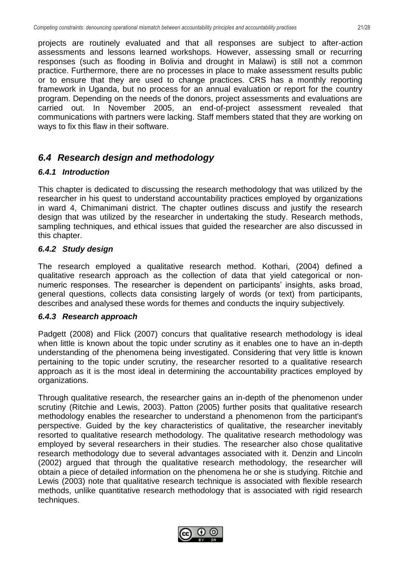projects are routinely evaluated and that all responses are subject to after-action assessments and lessons learned workshops. However, assessing small or recurring responses (such as flooding in Bolivia and drought in Malawi) is still not a common practice. Furthermore, there are no processes in place to make assessment results public or to ensure that they are used to change practices. CRS has a monthly reporting framework in Uganda, but no process for an annual evaluation or report for the country program. Depending on the needs of the donors, project assessments and evaluations are carried out. In November 2005, an end-of-project assessment revealed that communications with partners were lacking. Staff members stated that they are working on ways to fix this flaw in their software.

### <span id="page-20-0"></span>*6.4 Research design and methodology*

#### <span id="page-20-1"></span>*6.4.1 Introduction*

This chapter is dedicated to discussing the research methodology that was utilized by the researcher in his quest to understand accountability practices employed by organizations in ward 4, Chimanimani district. The chapter outlines discuss and justify the research design that was utilized by the researcher in undertaking the study. Research methods, sampling techniques, and ethical issues that guided the researcher are also discussed in this chapter.

#### <span id="page-20-2"></span>*6.4.2 Study design*

The research employed a qualitative research method. Kothari, (2004) defined a qualitative research approach as the collection of data that yield categorical or nonnumeric responses. The researcher is dependent on participants' insights, asks broad, general questions, collects data consisting largely of words (or text) from participants, describes and analysed these words for themes and conducts the inquiry subjectively.

#### <span id="page-20-3"></span>*6.4.3 Research approach*

Padgett (2008) and Flick (2007) concurs that qualitative research methodology is ideal when little is known about the topic under scrutiny as it enables one to have an in-depth understanding of the phenomena being investigated. Considering that very little is known pertaining to the topic under scrutiny, the researcher resorted to a qualitative research approach as it is the most ideal in determining the accountability practices employed by organizations.

Through qualitative research, the researcher gains an in-depth of the phenomenon under scrutiny (Ritchie and Lewis, 2003). Patton (2005) further posits that qualitative research methodology enables the researcher to understand a phenomenon from the participant's perspective. Guided by the key characteristics of qualitative, the researcher inevitably resorted to qualitative research methodology. The qualitative research methodology was employed by several researchers in their studies. The researcher also chose qualitative research methodology due to several advantages associated with it. Denzin and Lincoln (2002) argued that through the qualitative research methodology, the researcher will obtain a piece of detailed information on the phenomena he or she is studying. Ritchie and Lewis (2003) note that qualitative research technique is associated with flexible research methods, unlike quantitative research methodology that is associated with rigid research techniques.

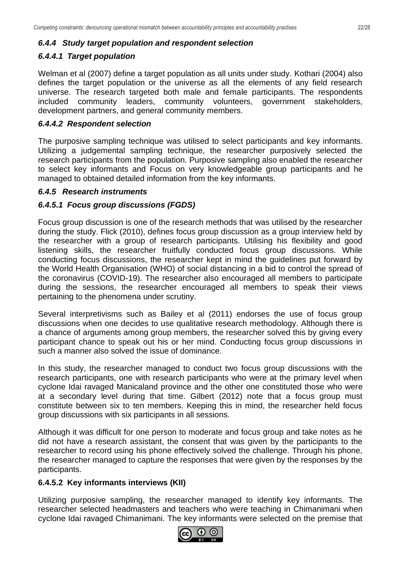#### <span id="page-21-0"></span>*6.4.4 Study target population and respondent selection*

### <span id="page-21-1"></span>*6.4.4.1 Target population*

Welman et al (2007) define a target population as all units under study. Kothari (2004) also defines the target population or the universe as all the elements of any field research universe. The research targeted both male and female participants. The respondents included community leaders, community volunteers, government stakeholders, development partners, and general community members.

#### <span id="page-21-2"></span>*6.4.4.2 Respondent selection*

The purposive sampling technique was utilised to select participants and key informants. Utilizing a judgemental sampling technique, the researcher purposively selected the research participants from the population. Purposive sampling also enabled the researcher to select key informants and Focus on very knowledgeable group participants and he managed to obtained detailed information from the key informants.

#### <span id="page-21-3"></span>*6.4.5 Research instruments*

#### <span id="page-21-4"></span>*6.4.5.1 Focus group discussions (FGDS)*

Focus group discussion is one of the research methods that was utilised by the researcher during the study. Flick (2010), defines focus group discussion as a group interview held by the researcher with a group of research participants. Utilising his flexibility and good listening skills, the researcher fruitfully conducted focus group discussions. While conducting focus discussions, the researcher kept in mind the guidelines put forward by the World Health Organisation (WHO) of social distancing in a bid to control the spread of the coronavirus (COVID-19). The researcher also encouraged all members to participate during the sessions, the researcher encouraged all members to speak their views pertaining to the phenomena under scrutiny.

Several interpretivisms such as Bailey et al (2011) endorses the use of focus group discussions when one decides to use qualitative research methodology. Although there is a chance of arguments among group members, the researcher solved this by giving every participant chance to speak out his or her mind. Conducting focus group discussions in such a manner also solved the issue of dominance.

In this study, the researcher managed to conduct two focus group discussions with the research participants, one with research participants who were at the primary level when cyclone Idai ravaged Manicaland province and the other one constituted those who were at a secondary level during that time. Gilbert (2012) note that a focus group must constitute between six to ten members. Keeping this in mind, the researcher held focus group discussions with six participants in all sessions.

Although it was difficult for one person to moderate and focus group and take notes as he did not have a research assistant, the consent that was given by the participants to the researcher to record using his phone effectively solved the challenge. Through his phone, the researcher managed to capture the responses that were given by the responses by the participants.

#### <span id="page-21-5"></span>**6.4.5.2 Key informants interviews (KII)**

Utilizing purposive sampling, the researcher managed to identify key informants. The researcher selected headmasters and teachers who were teaching in Chimanimani when cyclone Idai ravaged Chimanimani. The key informants were selected on the premise that

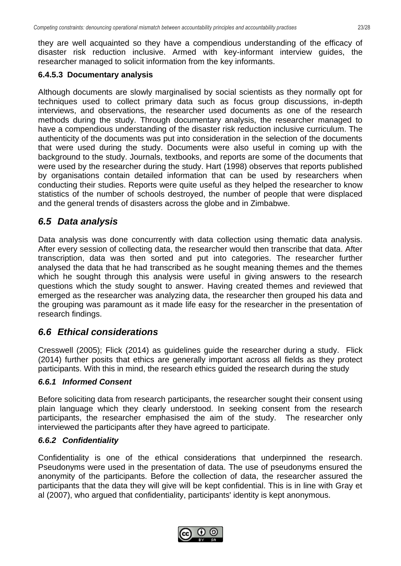they are well acquainted so they have a compendious understanding of the efficacy of disaster risk reduction inclusive. Armed with key-informant interview guides, the researcher managed to solicit information from the key informants.

#### <span id="page-22-0"></span>**6.4.5.3 Documentary analysis**

Although documents are slowly marginalised by social scientists as they normally opt for techniques used to collect primary data such as focus group discussions, in-depth interviews, and observations, the researcher used documents as one of the research methods during the study. Through documentary analysis, the researcher managed to have a compendious understanding of the disaster risk reduction inclusive curriculum. The authenticity of the documents was put into consideration in the selection of the documents that were used during the study. Documents were also useful in coming up with the background to the study. Journals, textbooks, and reports are some of the documents that were used by the researcher during the study. Hart (1998) observes that reports published by organisations contain detailed information that can be used by researchers when conducting their studies. Reports were quite useful as they helped the researcher to know statistics of the number of schools destroyed, the number of people that were displaced and the general trends of disasters across the globe and in Zimbabwe.

### <span id="page-22-1"></span>*6.5 Data analysis*

Data analysis was done concurrently with data collection using thematic data analysis. After every session of collecting data, the researcher would then transcribe that data. After transcription, data was then sorted and put into categories. The researcher further analysed the data that he had transcribed as he sought meaning themes and the themes which he sought through this analysis were useful in giving answers to the research questions which the study sought to answer. Having created themes and reviewed that emerged as the researcher was analyzing data, the researcher then grouped his data and the grouping was paramount as it made life easy for the researcher in the presentation of research findings.

### <span id="page-22-2"></span>*6.6 Ethical considerations*

Cresswell (2005); Flick (2014) as guidelines guide the researcher during a study. Flick (2014) further posits that ethics are generally important across all fields as they protect participants. With this in mind, the research ethics guided the research during the study

#### <span id="page-22-3"></span>*6.6.1 Informed Consent*

Before soliciting data from research participants, the researcher sought their consent using plain language which they clearly understood. In seeking consent from the research participants, the researcher emphasised the aim of the study. The researcher only interviewed the participants after they have agreed to participate.

### <span id="page-22-4"></span>*6.6.2 Confidentiality*

Confidentiality is one of the ethical considerations that underpinned the research. Pseudonyms were used in the presentation of data. The use of pseudonyms ensured the anonymity of the participants. Before the collection of data, the researcher assured the participants that the data they will give will be kept confidential. This is in line with Gray et al (2007), who argued that confidentiality, participants' identity is kept anonymous.

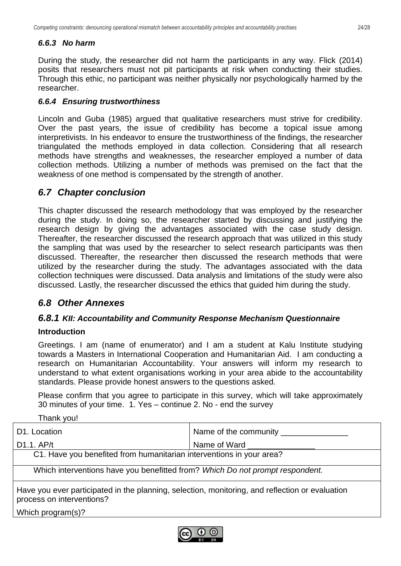### <span id="page-23-0"></span>*6.6.3 No harm*

During the study, the researcher did not harm the participants in any way. Flick (2014) posits that researchers must not pit participants at risk when conducting their studies. Through this ethic, no participant was neither physically nor psychologically harmed by the researcher.

### <span id="page-23-1"></span>*6.6.4 Ensuring trustworthiness*

Lincoln and Guba (1985) argued that qualitative researchers must strive for credibility. Over the past years, the issue of credibility has become a topical issue among interpretivists. In his endeavor to ensure the trustworthiness of the findings, the researcher triangulated the methods employed in data collection. Considering that all research methods have strengths and weaknesses, the researcher employed a number of data collection methods. Utilizing a number of methods was premised on the fact that the weakness of one method is compensated by the strength of another.

### <span id="page-23-2"></span>*6.7 Chapter conclusion*

This chapter discussed the research methodology that was employed by the researcher during the study. In doing so, the researcher started by discussing and justifying the research design by giving the advantages associated with the case study design. Thereafter, the researcher discussed the research approach that was utilized in this study the sampling that was used by the researcher to select research participants was then discussed. Thereafter, the researcher then discussed the research methods that were utilized by the researcher during the study. The advantages associated with the data collection techniques were discussed. Data analysis and limitations of the study were also discussed. Lastly, the researcher discussed the ethics that guided him during the study.

## <span id="page-23-3"></span>*6.8 Other Annexes*

### *6.8.1 KII: Accountability and Community Response Mechanism Questionnaire*

#### **Introduction**

Greetings. I am (name of enumerator) and I am a student at Kalu Institute studying towards a Masters in International Cooperation and Humanitarian Aid. I am conducting a research on Humanitarian Accountability. Your answers will inform my research to understand to what extent organisations working in your area abide to the accountability standards. Please provide honest answers to the questions asked.

Please confirm that you agree to participate in this survey, which will take approximately 30 minutes of your time. 1. Yes – continue 2. No - end the survey

| Name of the community ____                                                                                                   |  |  |  |  |
|------------------------------------------------------------------------------------------------------------------------------|--|--|--|--|
| Name of Ward                                                                                                                 |  |  |  |  |
| C1. Have you benefited from humanitarian interventions in your area?                                                         |  |  |  |  |
| Which interventions have you benefitted from? Which Do not prompt respondent.                                                |  |  |  |  |
| Have you ever participated in the planning, selection, monitoring, and reflection or evaluation<br>process on interventions? |  |  |  |  |
|                                                                                                                              |  |  |  |  |

Which program(s)?

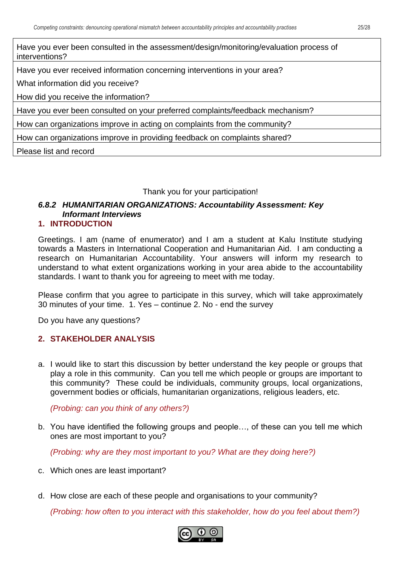Have you ever been consulted in the assessment/design/monitoring/evaluation process of interventions?

Have you ever received information concerning interventions in your area?

What information did you receive?

How did you receive the information?

Have you ever been consulted on your preferred complaints/feedback mechanism?

How can organizations improve in acting on complaints from the community?

How can organizations improve in providing feedback on complaints shared?

Please list and record

#### Thank you for your participation!

## *6.8.2 HUMANITARIAN ORGANIZATIONS: Accountability Assessment: Key Informant Interviews*

#### **1. INTRODUCTION**

Greetings. I am (name of enumerator) and I am a student at Kalu Institute studying towards a Masters in International Cooperation and Humanitarian Aid. I am conducting a research on Humanitarian Accountability. Your answers will inform my research to understand to what extent organizations working in your area abide to the accountability standards. I want to thank you for agreeing to meet with me today.

Please confirm that you agree to participate in this survey, which will take approximately 30 minutes of your time. 1. Yes – continue 2. No - end the survey

Do you have any questions?

#### **2. STAKEHOLDER ANALYSIS**

a. I would like to start this discussion by better understand the key people or groups that play a role in this community. Can you tell me which people or groups are important to this community? These could be individuals, community groups, local organizations, government bodies or officials, humanitarian organizations, religious leaders, etc.

*(Probing: can you think of any others?)*

b. You have identified the following groups and people…, of these can you tell me which ones are most important to you?

*(Probing: why are they most important to you? What are they doing here?)*

- c. Which ones are least important?
- d. How close are each of these people and organisations to your community?

*(Probing: how often to you interact with this stakeholder, how do you feel about them?)*

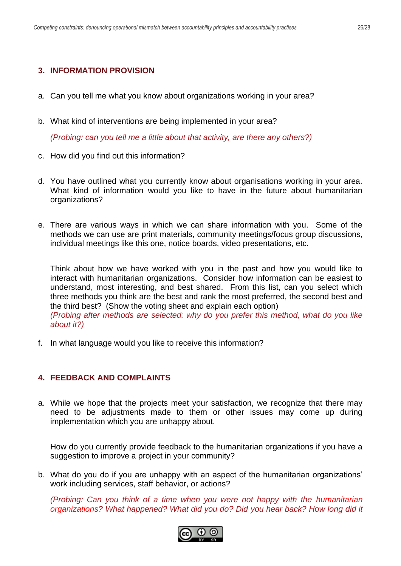#### **3. INFORMATION PROVISION**

- a. Can you tell me what you know about organizations working in your area?
- b. What kind of interventions are being implemented in your area?

*(Probing: can you tell me a little about that activity, are there any others?)*

- c. How did you find out this information?
- d. You have outlined what you currently know about organisations working in your area. What kind of information would you like to have in the future about humanitarian organizations?
- e. There are various ways in which we can share information with you. Some of the methods we can use are print materials, community meetings/focus group discussions, individual meetings like this one, notice boards, video presentations, etc.

Think about how we have worked with you in the past and how you would like to interact with humanitarian organizations. Consider how information can be easiest to understand, most interesting, and best shared. From this list, can you select which three methods you think are the best and rank the most preferred, the second best and the third best? (Show the voting sheet and explain each option) *(Probing after methods are selected: why do you prefer this method, what do you like about it?)*

f. In what language would you like to receive this information?

#### **4. FEEDBACK AND COMPLAINTS**

a. While we hope that the projects meet your satisfaction, we recognize that there may need to be adjustments made to them or other issues may come up during implementation which you are unhappy about.

How do you currently provide feedback to the humanitarian organizations if you have a suggestion to improve a project in your community?

b. What do you do if you are unhappy with an aspect of the humanitarian organizations' work including services, staff behavior, or actions?

*(Probing: Can you think of a time when you were not happy with the humanitarian organizations? What happened? What did you do? Did you hear back? How long did it* 

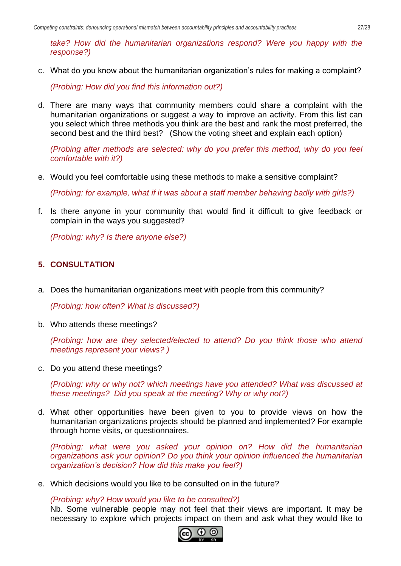*take? How did the humanitarian organizations respond? Were you happy with the response?)*

c. What do you know about the humanitarian organization's rules for making a complaint?

*(Probing: How did you find this information out?)*

d. There are many ways that community members could share a complaint with the humanitarian organizations or suggest a way to improve an activity. From this list can you select which three methods you think are the best and rank the most preferred, the second best and the third best? (Show the voting sheet and explain each option)

*(Probing after methods are selected: why do you prefer this method, why do you feel comfortable with it?)*

e. Would you feel comfortable using these methods to make a sensitive complaint?

*(Probing: for example, what if it was about a staff member behaving badly with girls?)* 

f. Is there anyone in your community that would find it difficult to give feedback or complain in the ways you suggested?

*(Probing: why? Is there anyone else?)*

#### **5. CONSULTATION**

a. Does the humanitarian organizations meet with people from this community?

*(Probing: how often? What is discussed?)*

b. Who attends these meetings?

*(Probing: how are they selected/elected to attend? Do you think those who attend meetings represent your views? )*

c. Do you attend these meetings?

*(Probing: why or why not? which meetings have you attended? What was discussed at these meetings? Did you speak at the meeting? Why or why not?)*

d. What other opportunities have been given to you to provide views on how the humanitarian organizations projects should be planned and implemented? For example through home visits, or questionnaires.

*(Probing: what were you asked your opinion on? How did the humanitarian organizations ask your opinion? Do you think your opinion influenced the humanitarian organization's decision? How did this make you feel?)*

e. Which decisions would you like to be consulted on in the future?

*(Probing: why? How would you like to be consulted?)*

Nb. Some vulnerable people may not feel that their views are important. It may be necessary to explore which projects impact on them and ask what they would like to